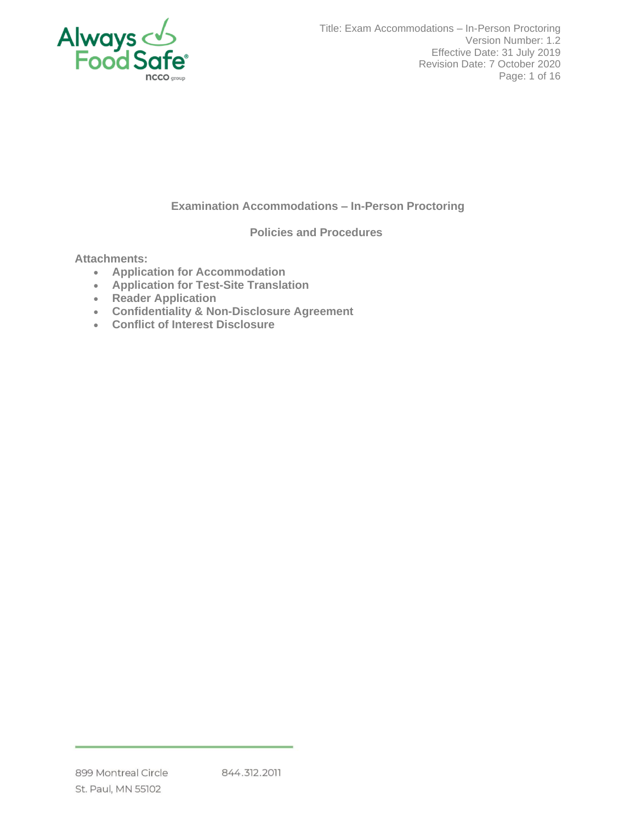

Title: Exam Accommodations – In-Person Proctoring Version Number: 1.2 Effective Date: 31 July 2019 Revision Date: 7 October 2020 Page: 1 of 16

# **Examination Accommodations – In-Person Proctoring**

**Policies and Procedures**

**Attachments:**

- **Application for Accommodation**
- **Application for Test-Site Translation**
- **Reader Application**
- **Confidentiality & Non-Disclosure Agreement**
- **Conflict of Interest Disclosure**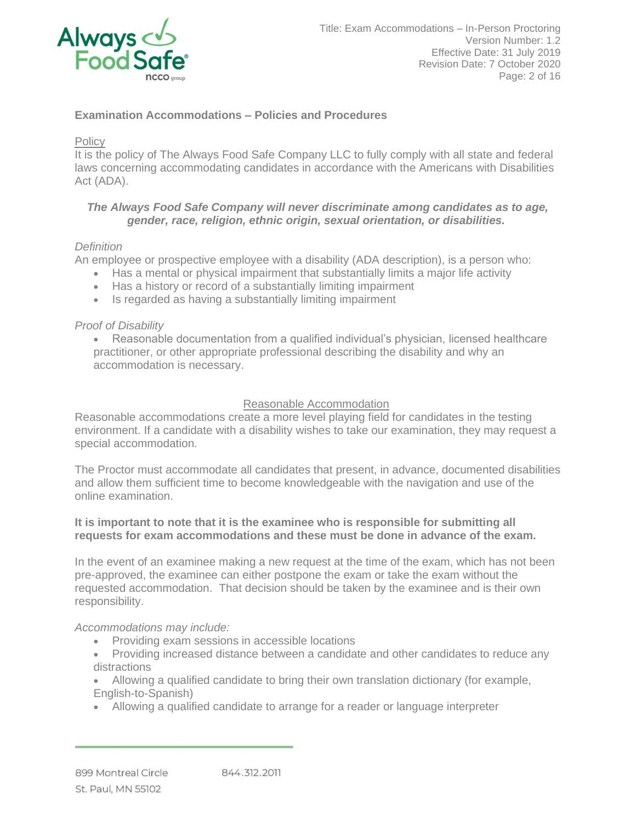

## **Examination Accommodations – Policies and Procedures**

### **Policy**

It is the policy of The Always Food Safe Company LLC to fully comply with all state and federal laws concerning accommodating candidates in accordance with the Americans with Disabilities Act (ADA).

### *The Always Food Safe Company will never discriminate among candidates as to age, gender, race, religion, ethnic origin, sexual orientation, or disabilities.*

### *Definition*

An employee or prospective employee with a disability (ADA description), is a person who:

- Has a mental or physical impairment that substantially limits a major life activity
- Has a history or record of a substantially limiting impairment
- Is regarded as having a substantially limiting impairment

## *Proof of Disability*

• Reasonable documentation from a qualified individual's physician, licensed healthcare practitioner, or other appropriate professional describing the disability and why an accommodation is necessary.

## Reasonable Accommodation

Reasonable accommodations create a more level playing field for candidates in the testing environment. If a candidate with a disability wishes to take our examination, they may request a special accommodation.

The Proctor must accommodate all candidates that present, in advance, documented disabilities and allow them sufficient time to become knowledgeable with the navigation and use of the online examination.

### **It is important to note that it is the examinee who is responsible for submitting all requests for exam accommodations and these must be done in advance of the exam.**

In the event of an examinee making a new request at the time of the exam, which has not been pre-approved, the examinee can either postpone the exam or take the exam without the requested accommodation. That decision should be taken by the examinee and is their own responsibility.

## *Accommodations may include:*

- Providing exam sessions in accessible locations
- Providing increased distance between a candidate and other candidates to reduce any distractions
- Allowing a qualified candidate to bring their own translation dictionary (for example, English-to-Spanish)
- Allowing a qualified candidate to arrange for a reader or language interpreter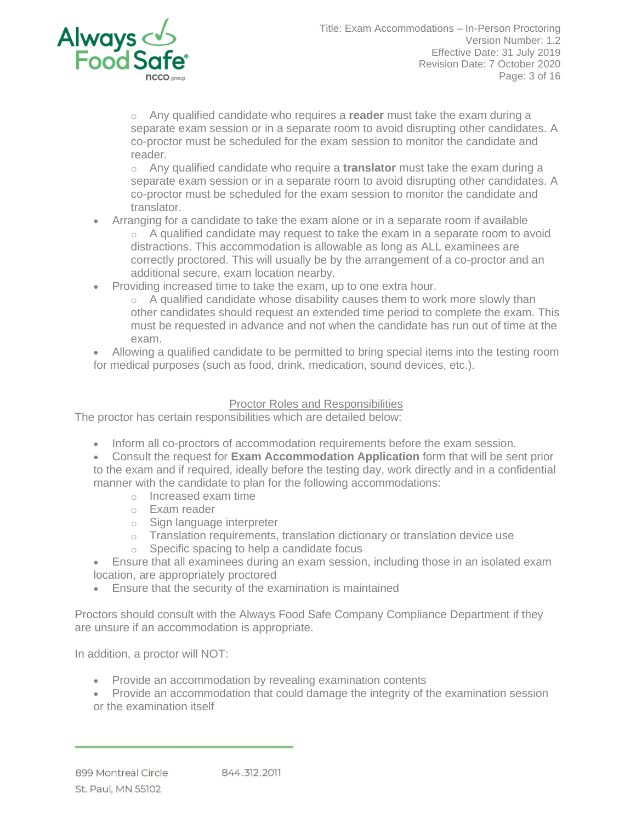

o Any qualified candidate who requires a **reader** must take the exam during a separate exam session or in a separate room to avoid disrupting other candidates. A co-proctor must be scheduled for the exam session to monitor the candidate and reader.

o Any qualified candidate who require a **translator** must take the exam during a separate exam session or in a separate room to avoid disrupting other candidates. A co-proctor must be scheduled for the exam session to monitor the candidate and translator.

- Arranging for a candidate to take the exam alone or in a separate room if available
	- o A qualified candidate may request to take the exam in a separate room to avoid distractions. This accommodation is allowable as long as ALL examinees are correctly proctored. This will usually be by the arrangement of a co-proctor and an additional secure, exam location nearby.
- Providing increased time to take the exam, up to one extra hour.
	- $\circ$  A qualified candidate whose disability causes them to work more slowly than other candidates should request an extended time period to complete the exam. This must be requested in advance and not when the candidate has run out of time at the exam.

• Allowing a qualified candidate to be permitted to bring special items into the testing room for medical purposes (such as food, drink, medication, sound devices, etc.).

## Proctor Roles and Responsibilities

The proctor has certain responsibilities which are detailed below:

- Inform all co-proctors of accommodation requirements before the exam session.
- Consult the request for **Exam Accommodation Application** form that will be sent prior to the exam and if required, ideally before the testing day, work directly and in a confidential manner with the candidate to plan for the following accommodations:
	- o Increased exam time
	- o Exam reader
	- o Sign language interpreter
	- o Translation requirements, translation dictionary or translation device use
	- o Specific spacing to help a candidate focus
- Ensure that all examinees during an exam session, including those in an isolated exam location, are appropriately proctored
- Ensure that the security of the examination is maintained

Proctors should consult with the Always Food Safe Company Compliance Department if they are unsure if an accommodation is appropriate.

In addition, a proctor will NOT:

- Provide an accommodation by revealing examination contents
- Provide an accommodation that could damage the integrity of the examination session or the examination itself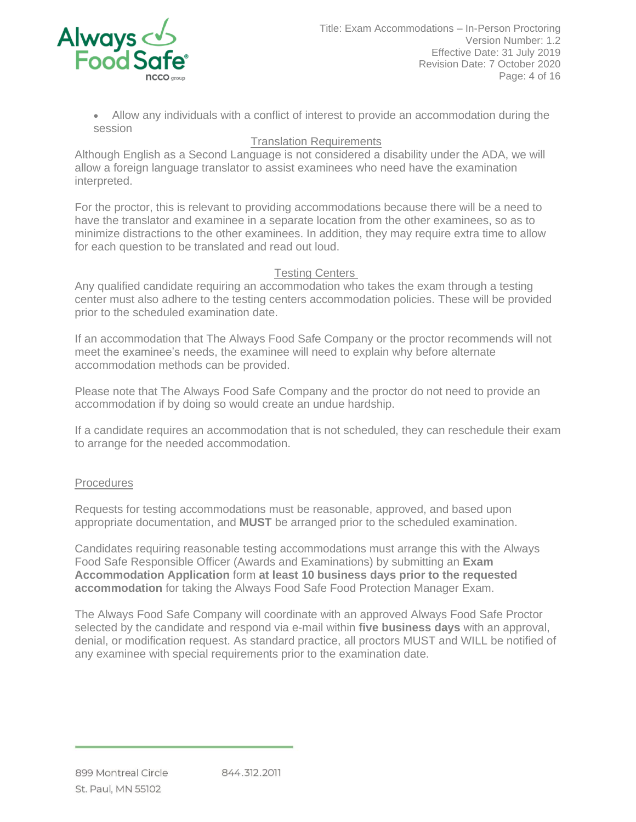

• Allow any individuals with a conflict of interest to provide an accommodation during the session

# Translation Requirements

Although English as a Second Language is not considered a disability under the ADA, we will allow a foreign language translator to assist examinees who need have the examination interpreted.

For the proctor, this is relevant to providing accommodations because there will be a need to have the translator and examinee in a separate location from the other examinees, so as to minimize distractions to the other examinees. In addition, they may require extra time to allow for each question to be translated and read out loud.

## Testing Centers

Any qualified candidate requiring an accommodation who takes the exam through a testing center must also adhere to the testing centers accommodation policies. These will be provided prior to the scheduled examination date.

If an accommodation that The Always Food Safe Company or the proctor recommends will not meet the examinee's needs, the examinee will need to explain why before alternate accommodation methods can be provided.

Please note that The Always Food Safe Company and the proctor do not need to provide an accommodation if by doing so would create an undue hardship.

If a candidate requires an accommodation that is not scheduled, they can reschedule their exam to arrange for the needed accommodation.

# **Procedures**

Requests for testing accommodations must be reasonable, approved, and based upon appropriate documentation, and **MUST** be arranged prior to the scheduled examination.

Candidates requiring reasonable testing accommodations must arrange this with the Always Food Safe Responsible Officer (Awards and Examinations) by submitting an **Exam Accommodation Application** form **at least 10 business days prior to the requested accommodation** for taking the Always Food Safe Food Protection Manager Exam.

The Always Food Safe Company will coordinate with an approved Always Food Safe Proctor selected by the candidate and respond via e-mail within **five business days** with an approval, denial, or modification request. As standard practice, all proctors MUST and WILL be notified of any examinee with special requirements prior to the examination date.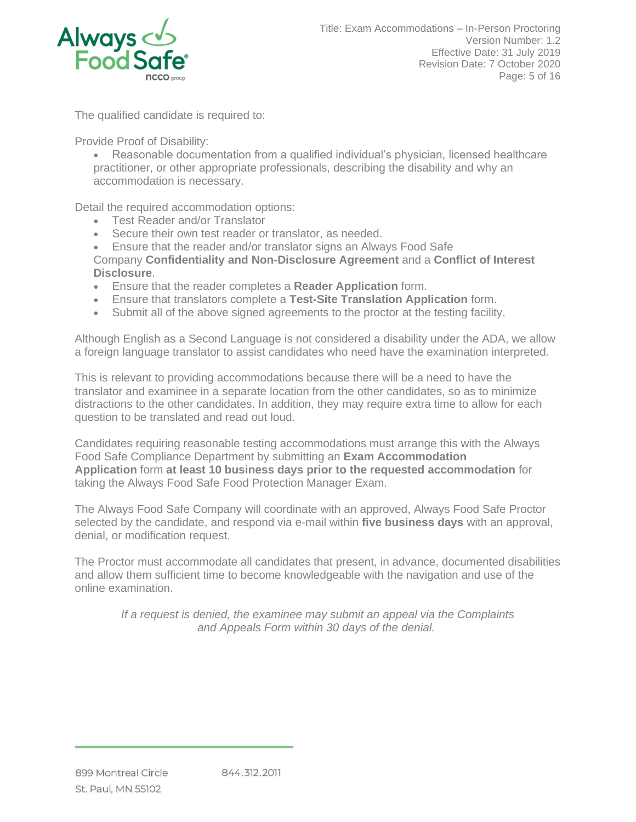

The qualified candidate is required to:

Provide Proof of Disability:

• Reasonable documentation from a qualified individual's physician, licensed healthcare practitioner, or other appropriate professionals, describing the disability and why an accommodation is necessary.

Detail the required accommodation options:

- Test Reader and/or Translator
- Secure their own test reader or translator, as needed.
- Ensure that the reader and/or translator signs an Always Food Safe

Company **Confidentiality and Non-Disclosure Agreement** and a **Conflict of Interest Disclosure**.

- Ensure that the reader completes a **Reader Application** form.
- Ensure that translators complete a **Test-Site Translation Application** form.
- Submit all of the above signed agreements to the proctor at the testing facility.

Although English as a Second Language is not considered a disability under the ADA, we allow a foreign language translator to assist candidates who need have the examination interpreted.

This is relevant to providing accommodations because there will be a need to have the translator and examinee in a separate location from the other candidates, so as to minimize distractions to the other candidates. In addition, they may require extra time to allow for each question to be translated and read out loud.

Candidates requiring reasonable testing accommodations must arrange this with the Always Food Safe Compliance Department by submitting an **Exam Accommodation Application** form **at least 10 business days prior to the requested accommodation** for taking the Always Food Safe Food Protection Manager Exam.

The Always Food Safe Company will coordinate with an approved, Always Food Safe Proctor selected by the candidate, and respond via e-mail within **five business days** with an approval, denial, or modification request.

The Proctor must accommodate all candidates that present, in advance, documented disabilities and allow them sufficient time to become knowledgeable with the navigation and use of the online examination.

*If a request is denied, the examinee may submit an appeal via the Complaints and Appeals Form within 30 days of the denial.*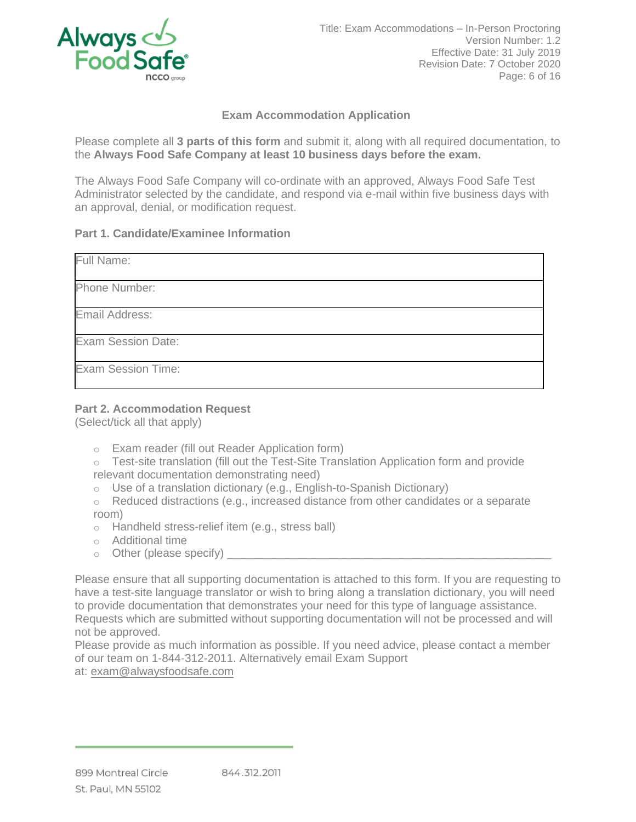

# **Exam Accommodation Application**

Please complete all **3 parts of this form** and submit it, along with all required documentation, to the **Always Food Safe Company at least 10 business days before the exam.**

The Always Food Safe Company will co-ordinate with an approved, Always Food Safe Test Administrator selected by the candidate, and respond via e-mail within five business days with an approval, denial, or modification request.

### **Part 1. Candidate/Examinee Information**

| Full Name:                |  |
|---------------------------|--|
| Phone Number:             |  |
| Email Address:            |  |
| Exam Session Date:        |  |
| <b>Exam Session Time:</b> |  |

## **Part 2. Accommodation Request**

(Select/tick all that apply)

- o Exam reader (fill out Reader Application form)
- o Test-site translation (fill out the Test-Site Translation Application form and provide relevant documentation demonstrating need)
- o Use of a translation dictionary (e.g., English-to-Spanish Dictionary)
- $\circ$  Reduced distractions (e.g., increased distance from other candidates or a separate room)
- o Handheld stress-relief item (e.g., stress ball)
- o Additional time
- $\circ$  Other (please specify)

Please ensure that all supporting documentation is attached to this form. If you are requesting to have a test-site language translator or wish to bring along a translation dictionary, you will need to provide documentation that demonstrates your need for this type of language assistance. Requests which are submitted without supporting documentation will not be processed and will not be approved.

Please provide as much information as possible. If you need advice, please contact a member of our team on 1-844-312-2011. Alternatively email Exam Support at: [exam@alwaysfoodsafe.com](mailto:exam@alwaysfoodsafe.com)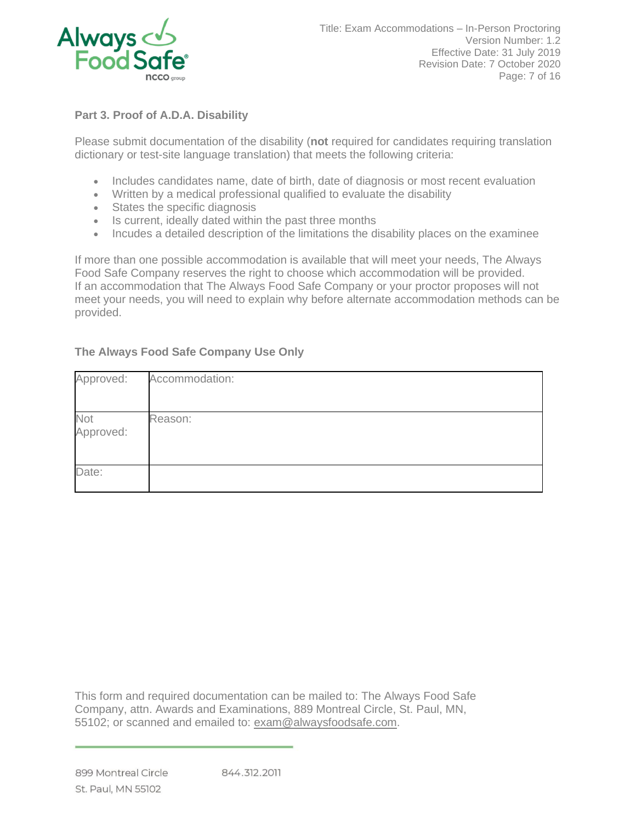

# **Part 3. Proof of A.D.A. Disability**

Please submit documentation of the disability (**not** required for candidates requiring translation dictionary or test-site language translation) that meets the following criteria:

- Includes candidates name, date of birth, date of diagnosis or most recent evaluation
- Written by a medical professional qualified to evaluate the disability
- States the specific diagnosis
- Is current, ideally dated within the past three months
- Incudes a detailed description of the limitations the disability places on the examinee

If more than one possible accommodation is available that will meet your needs, The Always Food Safe Company reserves the right to choose which accommodation will be provided. If an accommodation that The Always Food Safe Company or your proctor proposes will not meet your needs, you will need to explain why before alternate accommodation methods can be provided.

# **The Always Food Safe Company Use Only**

| Approved:        | Accommodation: |
|------------------|----------------|
| Not<br>Approved: | Reason:        |
| Date:            |                |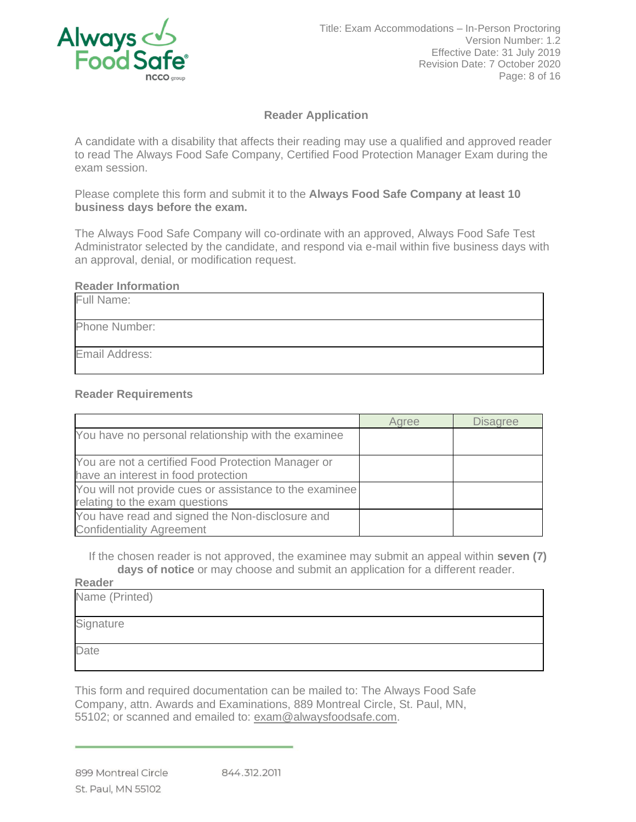

## **Reader Application**

A candidate with a disability that affects their reading may use a qualified and approved reader to read The Always Food Safe Company, Certified Food Protection Manager Exam during the exam session.

Please complete this form and submit it to the **Always Food Safe Company at least 10 business days before the exam.**

The Always Food Safe Company will co-ordinate with an approved, Always Food Safe Test Administrator selected by the candidate, and respond via e-mail within five business days with an approval, denial, or modification request.

#### **Reader Information**

| Full Name:     |  |
|----------------|--|
| Phone Number:  |  |
| Email Address: |  |

#### **Reader Requirements**

|                                                         | Agree | <b>Disagree</b> |
|---------------------------------------------------------|-------|-----------------|
| You have no personal relationship with the examinee     |       |                 |
|                                                         |       |                 |
| You are not a certified Food Protection Manager or      |       |                 |
| have an interest in food protection                     |       |                 |
| You will not provide cues or assistance to the examinee |       |                 |
| relating to the exam questions                          |       |                 |
| You have read and signed the Non-disclosure and         |       |                 |
| <b>Confidentiality Agreement</b>                        |       |                 |

If the chosen reader is not approved, the examinee may submit an appeal within **seven (7) days of notice** or may choose and submit an application for a different reader.

**Reader**

| Name (Printed) |  |
|----------------|--|
| Signature      |  |
| Date           |  |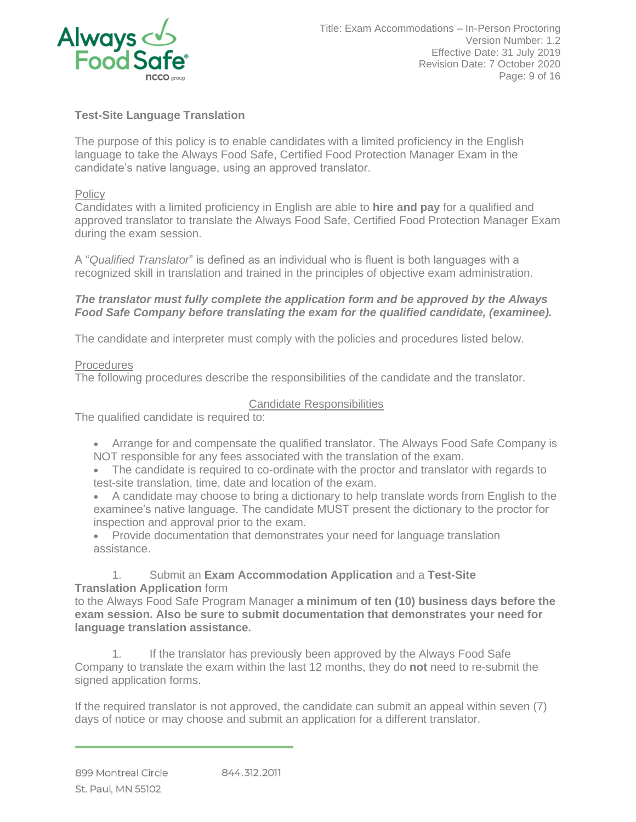

# **Test-Site Language Translation**

The purpose of this policy is to enable candidates with a limited proficiency in the English language to take the Always Food Safe, Certified Food Protection Manager Exam in the candidate's native language, using an approved translator.

### **Policy**

Candidates with a limited proficiency in English are able to **hire and pay** for a qualified and approved translator to translate the Always Food Safe, Certified Food Protection Manager Exam during the exam session.

A "*Qualified Translator*" is defined as an individual who is fluent is both languages with a recognized skill in translation and trained in the principles of objective exam administration.

### *The translator must fully complete the application form and be approved by the Always Food Safe Company before translating the exam for the qualified candidate, (examinee).*

The candidate and interpreter must comply with the policies and procedures listed below.

### **Procedures**

The following procedures describe the responsibilities of the candidate and the translator.

## Candidate Responsibilities

The qualified candidate is required to:

- Arrange for and compensate the qualified translator. The Always Food Safe Company is NOT responsible for any fees associated with the translation of the exam.
- The candidate is required to co-ordinate with the proctor and translator with regards to test-site translation, time, date and location of the exam.
- A candidate may choose to bring a dictionary to help translate words from English to the examinee's native language. The candidate MUST present the dictionary to the proctor for inspection and approval prior to the exam.
- Provide documentation that demonstrates your need for language translation assistance.

### 1. Submit an **Exam Accommodation Application** and a **Test-Site Translation Application** form

to the Always Food Safe Program Manager **a minimum of ten (10) business days before the exam session. Also be sure to submit documentation that demonstrates your need for language translation assistance.**

1. If the translator has previously been approved by the Always Food Safe Company to translate the exam within the last 12 months, they do **not** need to re-submit the signed application forms.

If the required translator is not approved, the candidate can submit an appeal within seven (7) days of notice or may choose and submit an application for a different translator.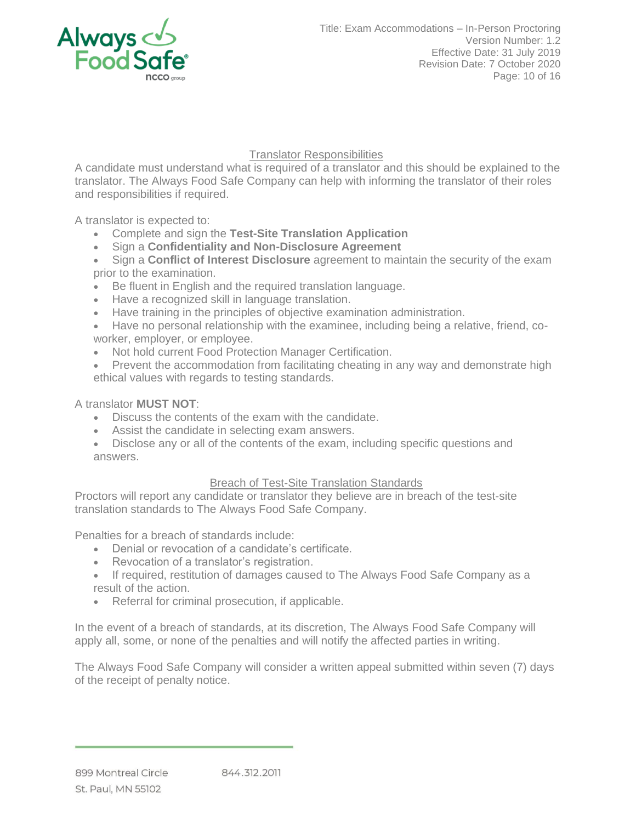

Translator Responsibilities

A candidate must understand what is required of a translator and this should be explained to the translator. The Always Food Safe Company can help with informing the translator of their roles and responsibilities if required.

A translator is expected to:

- Complete and sign the **Test-Site Translation Application**
- Sign a **Confidentiality and Non-Disclosure Agreement**
- Sign a **Conflict of Interest Disclosure** agreement to maintain the security of the exam prior to the examination.
- Be fluent in English and the required translation language.
- Have a recognized skill in language translation.
- Have training in the principles of objective examination administration.
- Have no personal relationship with the examinee, including being a relative, friend, coworker, employer, or employee.
- Not hold current Food Protection Manager Certification.
- Prevent the accommodation from facilitating cheating in any way and demonstrate high ethical values with regards to testing standards.

## A translator **MUST NOT**:

- Discuss the contents of the exam with the candidate.
- Assist the candidate in selecting exam answers.
- Disclose any or all of the contents of the exam, including specific questions and answers.

## **Breach of Test-Site Translation Standards**

Proctors will report any candidate or translator they believe are in breach of the test-site translation standards to The Always Food Safe Company.

Penalties for a breach of standards include:

- Denial or revocation of a candidate's certificate.
- Revocation of a translator's registration.
- If required, restitution of damages caused to The Always Food Safe Company as a result of the action.
- Referral for criminal prosecution, if applicable.

In the event of a breach of standards, at its discretion, The Always Food Safe Company will apply all, some, or none of the penalties and will notify the affected parties in writing.

The Always Food Safe Company will consider a written appeal submitted within seven (7) days of the receipt of penalty notice.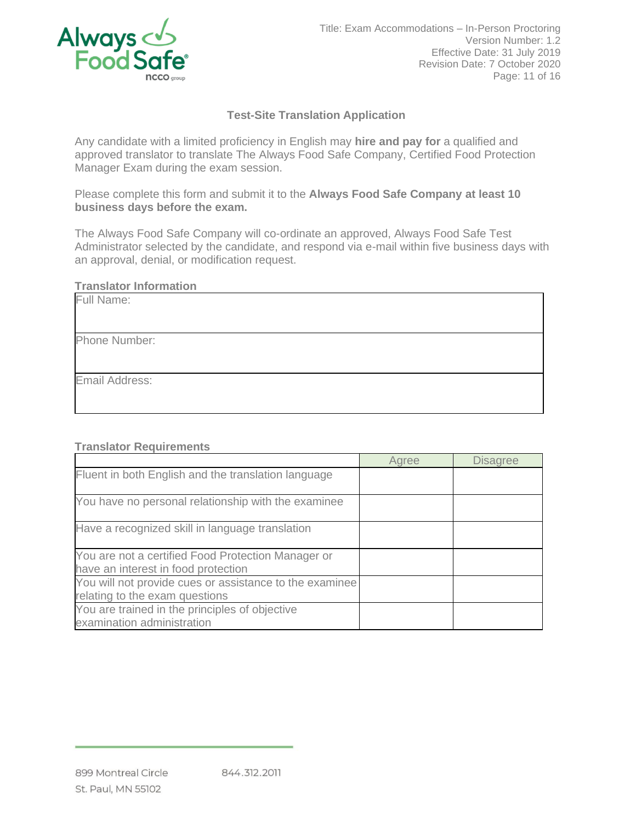

# **Test-Site Translation Application**

Any candidate with a limited proficiency in English may **hire and pay for** a qualified and approved translator to translate The Always Food Safe Company, Certified Food Protection Manager Exam during the exam session.

Please complete this form and submit it to the **Always Food Safe Company at least 10 business days before the exam.**

The Always Food Safe Company will co-ordinate an approved, Always Food Safe Test Administrator selected by the candidate, and respond via e-mail within five business days with an approval, denial, or modification request.

### **Translator Information**

| Full Name:     |
|----------------|
|                |
| Phone Number:  |
|                |
| Email Address: |
|                |

#### **Translator Requirements**

|                                                                                           | Agree | <b>Disagree</b> |
|-------------------------------------------------------------------------------------------|-------|-----------------|
| Fluent in both English and the translation language                                       |       |                 |
| You have no personal relationship with the examinee                                       |       |                 |
| Have a recognized skill in language translation                                           |       |                 |
| You are not a certified Food Protection Manager or<br>have an interest in food protection |       |                 |
| You will not provide cues or assistance to the examinee<br>relating to the exam questions |       |                 |
| You are trained in the principles of objective<br>examination administration              |       |                 |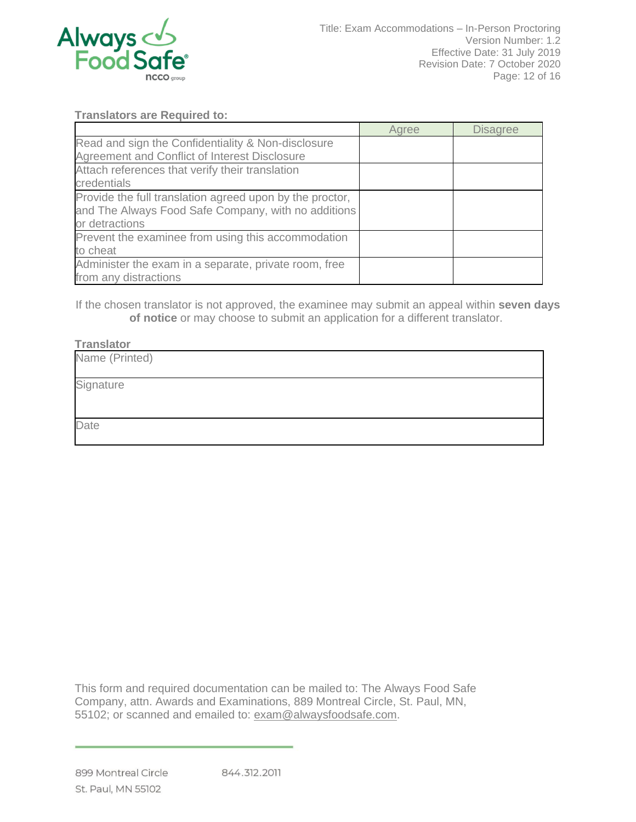

## **Translators are Required to:**

|                                                                                                                                   | Agree | <b>Disagree</b> |
|-----------------------------------------------------------------------------------------------------------------------------------|-------|-----------------|
| Read and sign the Confidentiality & Non-disclosure                                                                                |       |                 |
| Agreement and Conflict of Interest Disclosure                                                                                     |       |                 |
| Attach references that verify their translation<br>credentials                                                                    |       |                 |
| Provide the full translation agreed upon by the proctor,<br>and The Always Food Safe Company, with no additions<br>or detractions |       |                 |
| Prevent the examinee from using this accommodation<br>to cheat                                                                    |       |                 |
| Administer the exam in a separate, private room, free<br>from any distractions                                                    |       |                 |

If the chosen translator is not approved, the examinee may submit an appeal within **seven days of notice** or may choose to submit an application for a different translator.

#### **Translator**

| . . <del>.</del> |  |  |
|------------------|--|--|
| Name (Printed)   |  |  |
| Signature        |  |  |
|                  |  |  |
| Date             |  |  |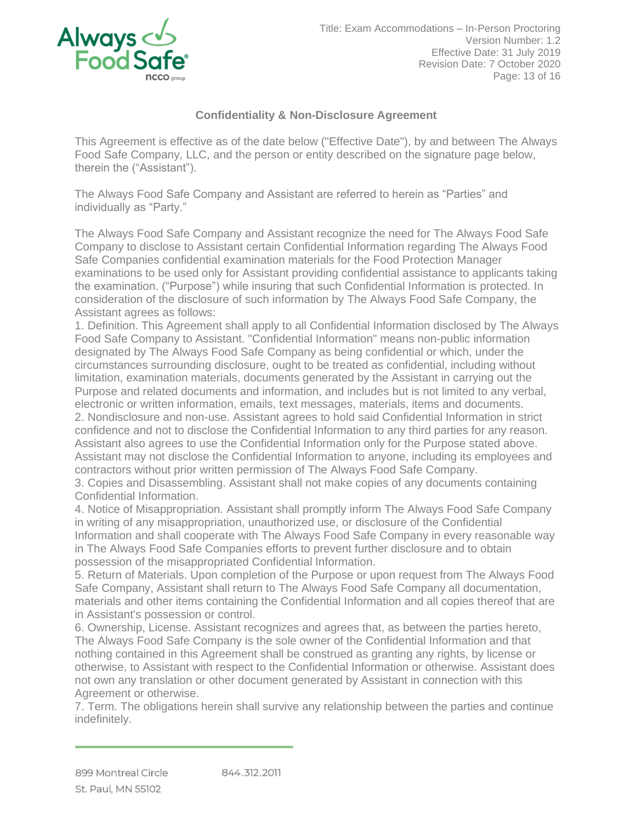

# **Confidentiality & Non-Disclosure Agreement**

This Agreement is effective as of the date below ("Effective Date"), by and between The Always Food Safe Company, LLC, and the person or entity described on the signature page below, therein the ("Assistant").

The Always Food Safe Company and Assistant are referred to herein as "Parties" and individually as "Party."

The Always Food Safe Company and Assistant recognize the need for The Always Food Safe Company to disclose to Assistant certain Confidential Information regarding The Always Food Safe Companies confidential examination materials for the Food Protection Manager examinations to be used only for Assistant providing confidential assistance to applicants taking the examination. ("Purpose") while insuring that such Confidential Information is protected. In consideration of the disclosure of such information by The Always Food Safe Company, the Assistant agrees as follows:

1. Definition. This Agreement shall apply to all Confidential Information disclosed by The Always Food Safe Company to Assistant. "Confidential Information" means non-public information designated by The Always Food Safe Company as being confidential or which, under the circumstances surrounding disclosure, ought to be treated as confidential, including without limitation, examination materials, documents generated by the Assistant in carrying out the Purpose and related documents and information, and includes but is not limited to any verbal, electronic or written information, emails, text messages, materials, items and documents.

2. Nondisclosure and non-use. Assistant agrees to hold said Confidential Information in strict confidence and not to disclose the Confidential Information to any third parties for any reason. Assistant also agrees to use the Confidential Information only for the Purpose stated above. Assistant may not disclose the Confidential Information to anyone, including its employees and contractors without prior written permission of The Always Food Safe Company.

3. Copies and Disassembling. Assistant shall not make copies of any documents containing Confidential Information.

4. Notice of Misappropriation. Assistant shall promptly inform The Always Food Safe Company in writing of any misappropriation, unauthorized use, or disclosure of the Confidential Information and shall cooperate with The Always Food Safe Company in every reasonable way in The Always Food Safe Companies efforts to prevent further disclosure and to obtain possession of the misappropriated Confidential Information.

5. Return of Materials. Upon completion of the Purpose or upon request from The Always Food Safe Company, Assistant shall return to The Always Food Safe Company all documentation, materials and other items containing the Confidential Information and all copies thereof that are in Assistant's possession or control.

6. Ownership, License. Assistant recognizes and agrees that, as between the parties hereto, The Always Food Safe Company is the sole owner of the Confidential Information and that nothing contained in this Agreement shall be construed as granting any rights, by license or otherwise, to Assistant with respect to the Confidential Information or otherwise. Assistant does not own any translation or other document generated by Assistant in connection with this Agreement or otherwise.

7. Term. The obligations herein shall survive any relationship between the parties and continue indefinitely.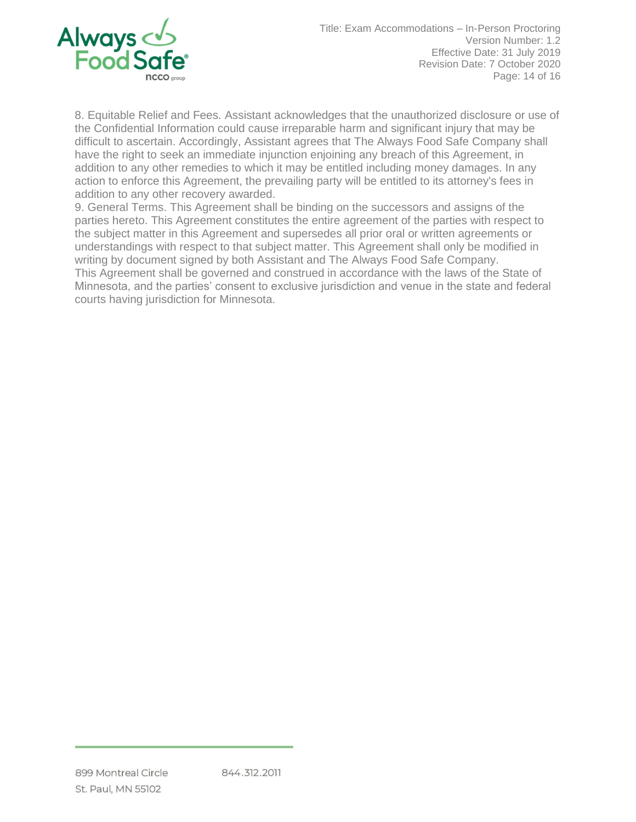

8. Equitable Relief and Fees. Assistant acknowledges that the unauthorized disclosure or use of the Confidential Information could cause irreparable harm and significant injury that may be difficult to ascertain. Accordingly, Assistant agrees that The Always Food Safe Company shall have the right to seek an immediate injunction enjoining any breach of this Agreement, in addition to any other remedies to which it may be entitled including money damages. In any action to enforce this Agreement, the prevailing party will be entitled to its attorney's fees in addition to any other recovery awarded.

9. General Terms. This Agreement shall be binding on the successors and assigns of the parties hereto. This Agreement constitutes the entire agreement of the parties with respect to the subject matter in this Agreement and supersedes all prior oral or written agreements or understandings with respect to that subject matter. This Agreement shall only be modified in writing by document signed by both Assistant and The Always Food Safe Company. This Agreement shall be governed and construed in accordance with the laws of the State of Minnesota, and the parties' consent to exclusive jurisdiction and venue in the state and federal courts having jurisdiction for Minnesota.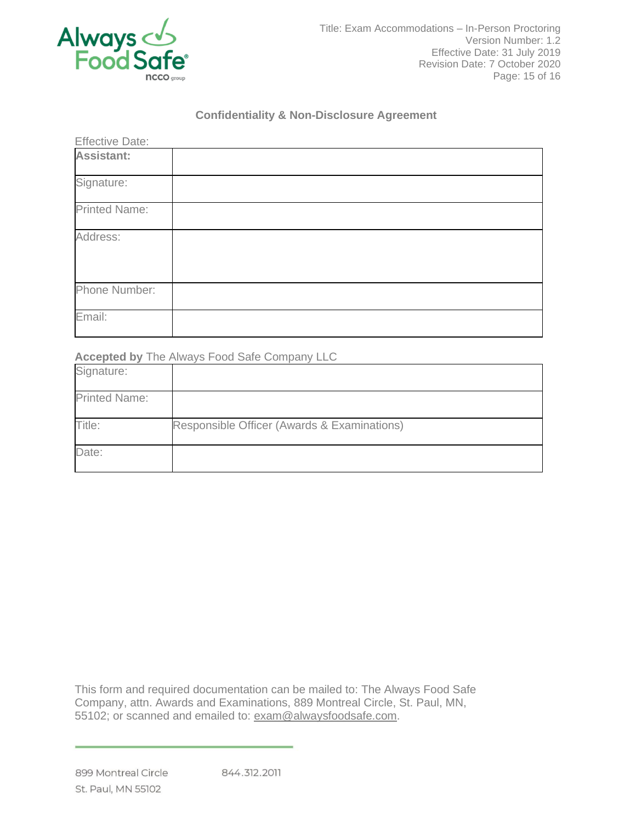

## **Confidentiality & Non-Disclosure Agreement**

| <b>Effective Date:</b> |  |
|------------------------|--|
| Assistant:             |  |
| Signature:             |  |
| <b>Printed Name:</b>   |  |
| Address:               |  |
| Phone Number:          |  |
| Email:                 |  |

**Accepted by** The Always Food Safe Company LLC

| Signature:           |                                             |
|----------------------|---------------------------------------------|
| <b>Printed Name:</b> |                                             |
| Title:               | Responsible Officer (Awards & Examinations) |
| Date:                |                                             |